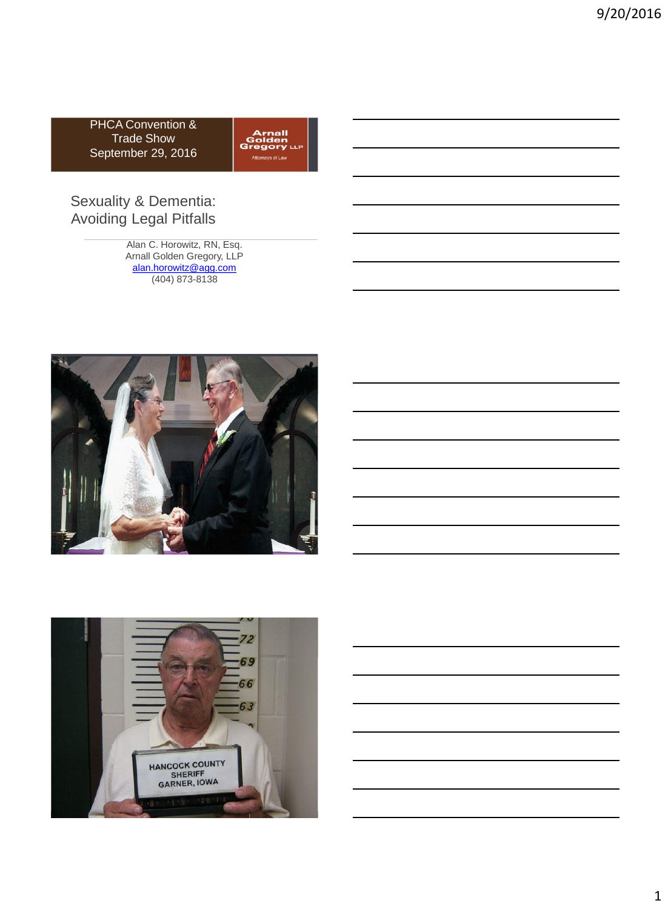PHCA Convention & Trade Show September 29, 2016

| <b>Arnall</b><br>Golden<br><b>Gregory</b> LLP<br>Attorneys at Law |  |
|-------------------------------------------------------------------|--|
|-------------------------------------------------------------------|--|

# Sexuality & Dementia: Avoiding Legal Pitfalls

Alan C. Horowitz, RN, Esq. Arnall Golden Gregory, LLP [alan.horowitz@agg.com](mailto:alan.horowitz@agg.com) (404) 873-8138



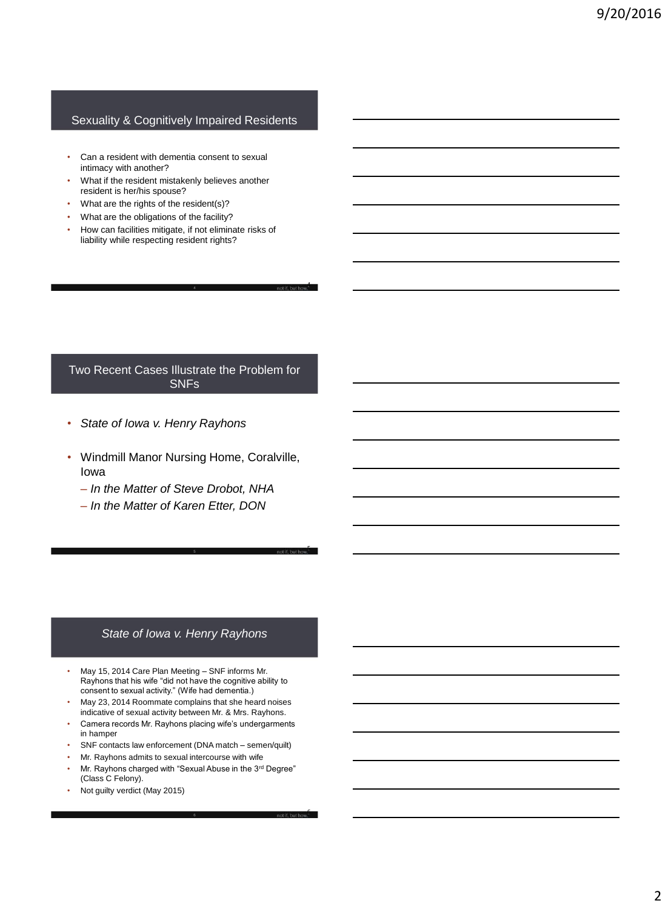#### Sexuality & Cognitively Impaired Residents

- Can a resident with dementia consent to sexual intimacy with another?
- What if the resident mistakenly believes another resident is her/his spouse?
- What are the rights of the resident(s)?
- What are the obligations of the facility?
- How can facilities mitigate, if not eliminate risks of liability while respecting resident rights?

#### Two Recent Cases Illustrate the Problem for SNFs

4

5

6

- *State of Iowa v. Henry Rayhons*
- Windmill Manor Nursing Home, Coralville, Iowa
	- *In the Matter of Steve Drobot, NHA*
	- *In the Matter of Karen Etter, DON*

#### *State of Iowa v. Henry Rayhons*

- May 15, 2014 Care Plan Meeting SNF informs Mr. Rayhons that his wife "did not have the cognitive ability to consent to sexual activity." (Wife had dementia.)
- May 23, 2014 Roommate complains that she heard noises indicative of sexual activity between Mr. & Mrs. Rayhons.
- Camera records Mr. Rayhons placing wife's undergarments in hamper
- SNF contacts law enforcement (DNA match semen/quilt)
- Mr. Rayhons admits to sexual intercourse with wife
- Mr. Rayhons charged with "Sexual Abuse in the 3rd Degree" (Class C Felony).

6

• Not guilty verdict (May 2015)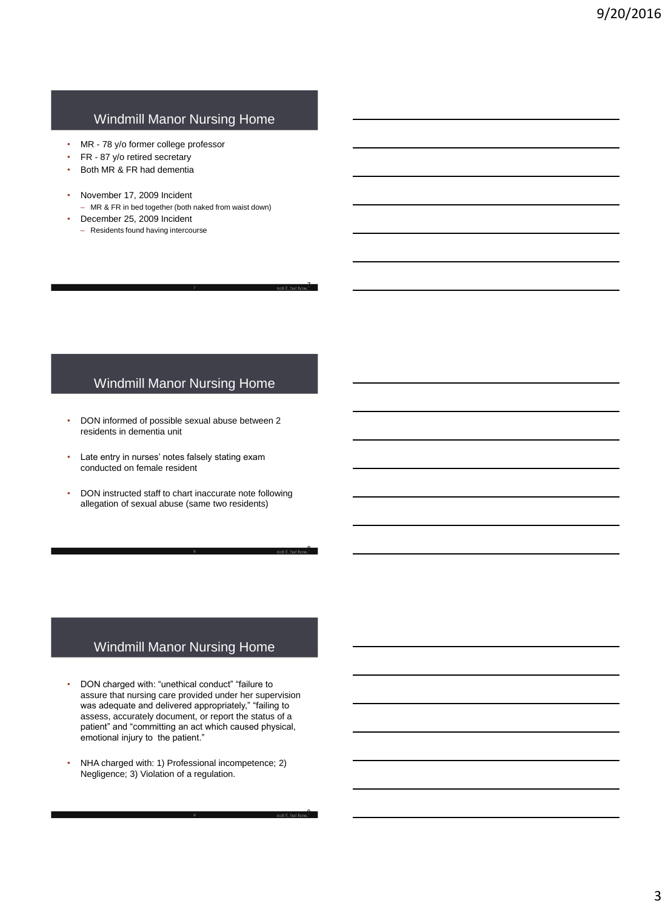# Windmill Manor Nursing Home

- MR 78 y/o former college professor
- FR 87 y/o retired secretary
- Both MR & FR had dementia
- November 17, 2009 Incident – MR & FR in bed together (both naked from waist down)
	- December 25, 2009 Incident
	- Residents found having intercourse

# Windmill Manor Nursing Home

7

8

9

- DON informed of possible sexual abuse between 2 residents in dementia unit
- Late entry in nurses' notes falsely stating exam conducted on female resident
- DON instructed staff to chart inaccurate note following allegation of sexual abuse (same two residents)

8

# Windmill Manor Nursing Home

- DON charged with: "unethical conduct" "failure to assure that nursing care provided under her supervision was adequate and delivered appropriately," "failing to assess, accurately document, or report the status of a patient" and "committing an act which caused physical, emotional injury to the patient."
- NHA charged with: 1) Professional incompetence; 2) Negligence; 3) Violation of a regulation.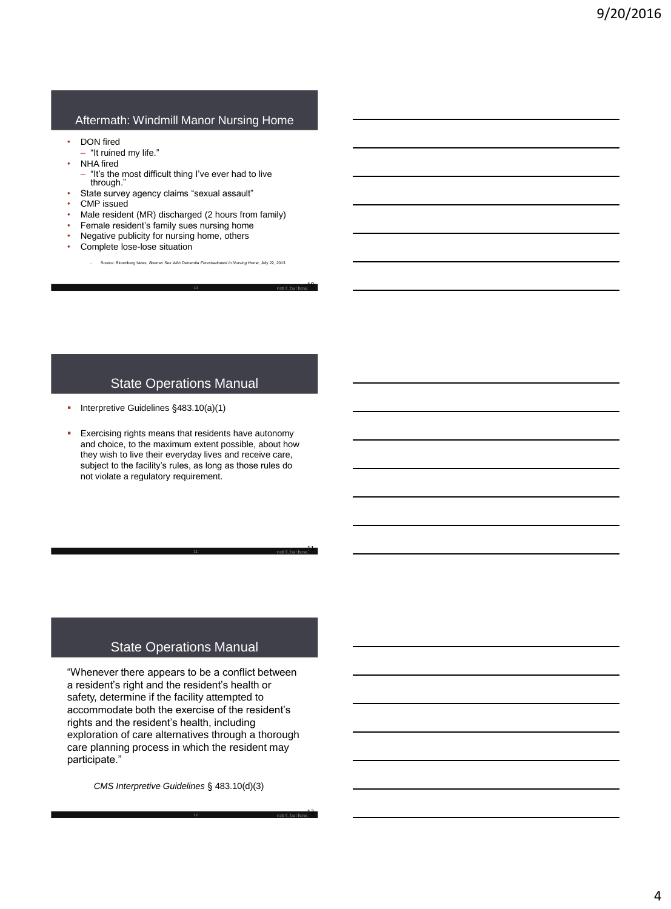#### Aftermath: Windmill Manor Nursing Home

- DON fired
- "It ruined my life."
- **NHA** fired
	- "It's the most difficult thing I've ever had to live through."
- State survey agency claims "sexual assault"
- CMP issued
- Male resident (MR) discharged (2 hours from family)
- Female resident's family sues nursing home
- Negative publicity for nursing home, others
- Complete lose-lose situation
	- Source: Bloomberg News, *Boomer Sex With Dementia Foreshadowed in Nursing Home*, July 22, 2013

10

11

12

### State Operations Manual

- Interpretive Guidelines §483.10(a)(1)
- Exercising rights means that residents have autonomy and choice, to the maximum extent possible, about how they wish to live their everyday lives and receive care, subject to the facility's rules, as long as those rules do not violate a regulatory requirement.

## State Operations Manual

"Whenever there appears to be a conflict between a resident's right and the resident's health or safety, determine if the facility attempted to accommodate both the exercise of the resident's rights and the resident's health, including exploration of care alternatives through a thorough care planning process in which the resident may participate."

*CMS Interpretive Guidelines* § 483.10(d)(3)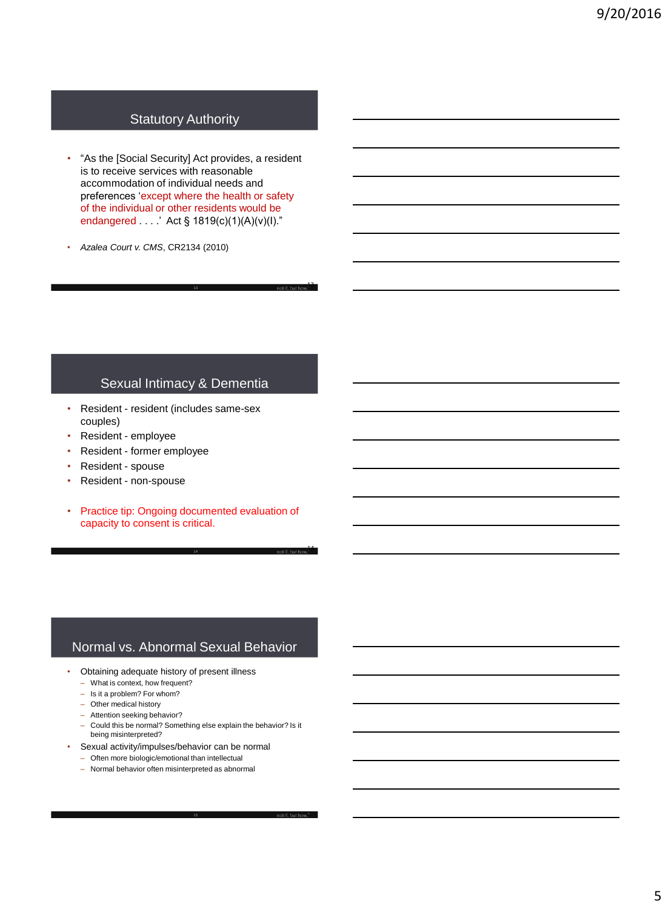# Statutory Authority

• "As the [Social Security] Act provides, a resident is to receive services with reasonable accommodation of individual needs and preferences 'except where the health or safety of the individual or other residents would be endangered . . . .' Act § 1819(c)(1)(A)(v)(I)."

13

14

• *Azalea Court v. CMS*, CR2134 (2010)

## Sexual Intimacy & Dementia

- Resident resident (includes same-sex couples)
- Resident employee
- Resident former employee
- Resident spouse
- Resident non-spouse
- Practice tip: Ongoing documented evaluation of capacity to consent is critical.

14

# Normal vs. Abnormal Sexual Behavior

- Obtaining adequate history of present illness
	- What is context, how frequent?
	- Is it a problem? For whom?
	- Other medical history
	- Attention seeking behavior?
	- Could this be normal? Something else explain the behavior? Is it being misinterpreted?
- Sexual activity/impulses/behavior can be normal
	- Often more biologic/emotional than intellectual
	- Normal behavior often misinterpreted as abnormal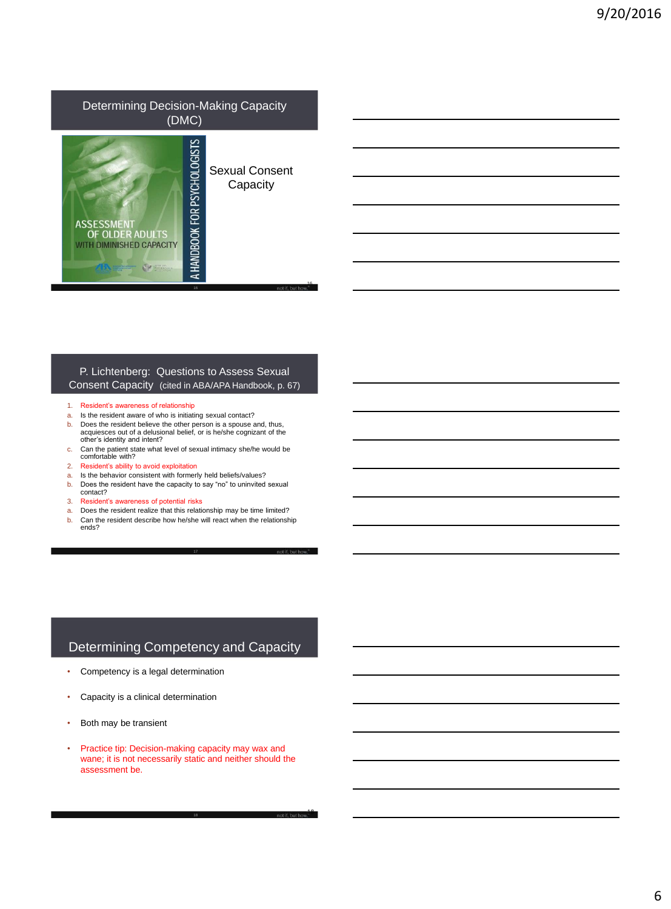## Determining Decision-Making Capacity (DMC)



Sexual Consent **Capacity** 

16

18

#### P. Lichtenberg: Questions to Assess Sexual Consent Capacity (cited in ABA/APA Handbook, p. 67)

- 1. Resident's awareness of relationship
- a. Is the resident aware of who is initiating sexual contact?
- b. Does the resident believe the other person is a spouse and, thus, acquiesces out of a delusional belief, or is he/she cognizant of the other's identity and intent?
- c. Can the patient state what level of sexual intimacy she/he would be comfortable with?
- 2. Resident's ability to avoid exploitation
- a. Is the behavior consistent with formerly held beliefs/values?
- b. Does the resident have the capacity to say "no" to uninvited sexual contact?
- 3. Resident's awareness of potential risks
- a. Does the resident realize that this relationship may be time limited?
- b. Can the resident describe how he/she will react when the relationship ends?
- 

## Determining Competency and Capacity

- Competency is a legal determination
- Capacity is a clinical determination
- Both may be transient
- Practice tip: Decision-making capacity may wax and wane; it is not necessarily static and neither should the assessment be.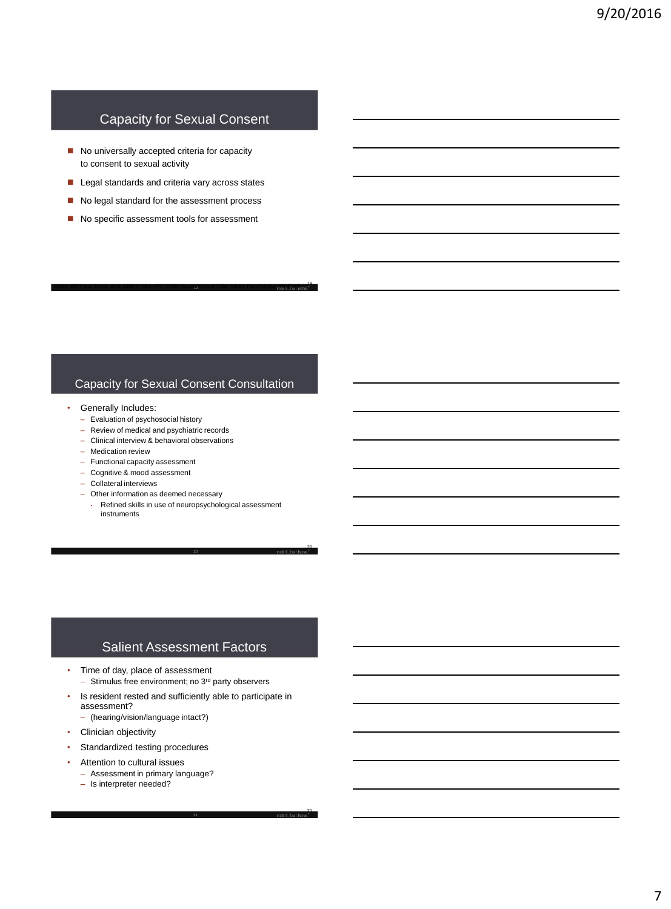# Capacity for Sexual Consent

- No universally accepted criteria for capacity to consent to sexual activity
- Legal standards and criteria vary across states
- No legal standard for the assessment process
- No specific assessment tools for assessment

### Capacity for Sexual Consent Consultation

19<br>19 Lyden, 2007 and Stavis, et al, 1999 in ABA-APA (2008) Assessment of Older Adults: Psychologist Handbook

- Generally Includes:
	- Evaluation of psychosocial history
	- Review of medical and psychiatric records
	- Clinical interview & behavioral observations
	- Medication review
	- Functional capacity assessment
	- Cognitive & mood assessment
	- Collateral interviews
	- Other information as deemed necessary
		- Refined skills in use of neuropsychological assessment instruments

20

21

## Salient Assessment Factors

- Time of day, place of assessment – Stimulus free environment; no 3rd party observers
- Is resident rested and sufficiently able to participate in assessment?
- (hearing/vision/language intact?)
- Clinician objectivity
- Standardized testing procedures
- Attention to cultural issues
	- Assessment in primary language?
	- Is interpreter needed?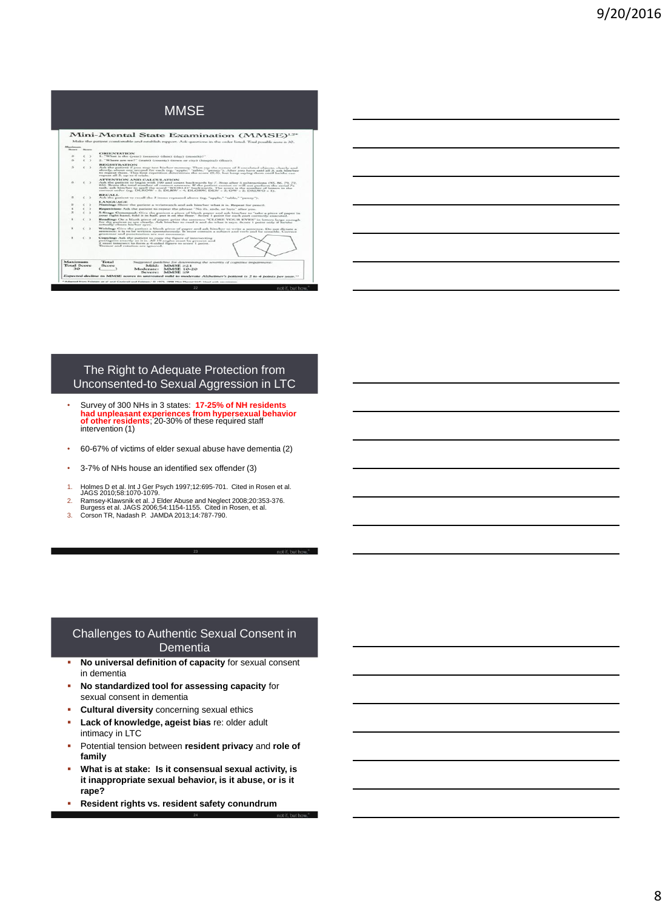# MMSE

| Maximum<br><b>Total Score</b><br>363 |                                                                                                                                                                                                                                                      |                          | Total<br>Sicore                                                                                                                                                                                                                                                                                                                                                                                                                    | Milde.<br>Moderate:<br>Service-                        | MMMSE > 2.1<br><b>MMSE 10-20</b><br><b>MAISE &lt;0</b> | Suggested guideline for determining the severity of cognitive impairment:<br>Expected decline in MMSE scores in untreated mild to moderate Algheimer's patient is 2 to 4 points per year." |  |  |  |
|--------------------------------------|------------------------------------------------------------------------------------------------------------------------------------------------------------------------------------------------------------------------------------------------------|--------------------------|------------------------------------------------------------------------------------------------------------------------------------------------------------------------------------------------------------------------------------------------------------------------------------------------------------------------------------------------------------------------------------------------------------------------------------|--------------------------------------------------------|--------------------------------------------------------|--------------------------------------------------------------------------------------------------------------------------------------------------------------------------------------------|--|--|--|
| $\mathbf{r}$                         | $\sim$ $\sim$<br>Copyrings Ask the patient to copy the flavor of interpreting<br>pentagons exactly as it is. All 10 angles must be property and<br>2 secont internect to form a 4-sided figure to score 1 point.<br>Tremor and rutation are ignored. |                          |                                                                                                                                                                                                                                                                                                                                                                                                                                    |                                                        |                                                        |                                                                                                                                                                                            |  |  |  |
| ٠                                    |                                                                                                                                                                                                                                                      | $\epsilon$ $\rightarrow$ | Writings Give the patient a blank piece of paper and ask him/her to write a sentence. Do not dictate a<br>sentence; it is to be written spontaneously. It must contain a subject and verb and be sensible. Correct<br>grammar and monchastion are not proposers.                                                                                                                                                                   |                                                        |                                                        |                                                                                                                                                                                            |  |  |  |
| $\mathbf{r}$                         |                                                                                                                                                                                                                                                      | (3)                      | Reading: On a blank piece of paper, print the sentence "CLOSE YOUR EYES" in letters large enough<br>for the patient to see clearly. Ask him/her to read it and do what it says. Score I point only if ho'she<br>actually closes his/har ever.                                                                                                                                                                                      |                                                        |                                                        |                                                                                                                                                                                            |  |  |  |
| $\mathbf{x}$                         | v                                                                                                                                                                                                                                                    | - 5                      | 3-Stage Command: Give the patient a piece of blank paper and sak him/her to 'take a piece of namer in<br>your right hand, fold it in half, put it on the floor." Score 1 point for each part correctly executed.                                                                                                                                                                                                                   |                                                        |                                                        |                                                                                                                                                                                            |  |  |  |
| ٠                                    |                                                                                                                                                                                                                                                      | - 2                      | Repetition: Ask the patient to repeat the phrase "No ifs, ands, or buts" after you.                                                                                                                                                                                                                                                                                                                                                |                                                        |                                                        |                                                                                                                                                                                            |  |  |  |
| $\overline{a}$                       |                                                                                                                                                                                                                                                      |                          | <b>LANGUAGE</b><br>Namings Show the patient a wristwatch and sak him/her what it is. Repeat for precil.                                                                                                                                                                                                                                                                                                                            |                                                        |                                                        |                                                                                                                                                                                            |  |  |  |
| $\mathbf{x}$                         |                                                                                                                                                                                                                                                      | $\sim$                   | <b><i>BUILDAY</i></b><br>Ask the patient to recall the 3 items repeated above (eg. "apple." "table." "penny").                                                                                                                                                                                                                                                                                                                     |                                                        |                                                        |                                                                                                                                                                                            |  |  |  |
| $\alpha$                             |                                                                                                                                                                                                                                                      | $\rightarrow$            | ATTENTION AND CALCULATION<br>Ask the patient to begin with 100 and count backwards by 7. Stop after 5 subtractions (95, 86, 79, 72,<br>66). Score the total number of correct answers. If the patient cannot or will not perform the serial 7s.<br>task, ask him/see to spell the word "WORLD" backwards. The accee is the number of letters in the<br>correct seder (eg. DLROW = 5; DLRW = 4; DLORW, DLW = 5; OW = 2; DRLWO = 1). |                                                        |                                                        |                                                                                                                                                                                            |  |  |  |
| $\overline{\phantom{a}}$             |                                                                                                                                                                                                                                                      | $\rightarrow$            | <b>REGISTRATION</b><br>Ask the patient if you may test his/see memory. Then any the names of 3 unrelated objects, clearly and<br>showly, about one second for each teg. "spubs." "sable." "penny"). After you have said all 3, ask himdue;<br>to repeat them. This first repetition determines the score (0-3), but keep saying them until batshe can<br>repeat all 5, op to 6 trials.                                             |                                                        |                                                        |                                                                                                                                                                                            |  |  |  |
| $\sim$                               |                                                                                                                                                                                                                                                      | $\mathbf{r}$             | 2. "Where are we?" (state) (county) (town or city) (hospital) (floor).                                                                                                                                                                                                                                                                                                                                                             |                                                        |                                                        |                                                                                                                                                                                            |  |  |  |
| i.                                   |                                                                                                                                                                                                                                                      |                          | <b>ORIENTATION</b>                                                                                                                                                                                                                                                                                                                                                                                                                 | 1. "What is the Cyear) (season) (date) (day) (month)?" |                                                        |                                                                                                                                                                                            |  |  |  |
| <b>Maximum</b><br><b>Summer</b>      |                                                                                                                                                                                                                                                      | <b>Nones</b>             |                                                                                                                                                                                                                                                                                                                                                                                                                                    |                                                        |                                                        |                                                                                                                                                                                            |  |  |  |
|                                      |                                                                                                                                                                                                                                                      |                          |                                                                                                                                                                                                                                                                                                                                                                                                                                    |                                                        |                                                        | Make the patient comfortable and establish rapport. Ask questions in the onler listed. Total possible score is 30.                                                                         |  |  |  |

#### The Right to Adequate Protection from Unconsented-to Sexual Aggression in LTC

- Survey of 300 NHs in 3 states: **17-25% of NH residents had unpleasant experiences from hypersexual behavior of other residents**; 20-30% of these required staff intervention (1)
- 60-67% of victims of elder sexual abuse have dementia (2)
- 3-7% of NHs house an identified sex offender (3)
- 1. Holmes D et al. Int J Ger Psych 1997;12:695-701. Cited in Rosen et al. JAGS 2010;58:1070-1079.
- 2. Ramsey-Klawsnik et al. J Elder Abuse and Neglect 2008;20:353-376. Burgess et al. JAGS 2006;54:1154-1155. Cited in Rosen, et al.
- 3. Corson TR, Nadash P. JAMDA 2013;14:787-790.

#### Challenges to Authentic Sexual Consent in **Dementia**

- **No universal definition of capacity** for sexual consent in dementia
- **No standardized tool for assessing capacity** for sexual consent in dementia
- **Cultural diversity** concerning sexual ethics
- **Lack of knowledge, ageist bias** re: older adult intimacy in LTC
- Potential tension between **resident privacy** and **role of family**
- **What is at stake: Is it consensual sexual activity, is it inappropriate sexual behavior, is it abuse, or is it rape?**

24

**Resident rights vs. resident safety conundrum**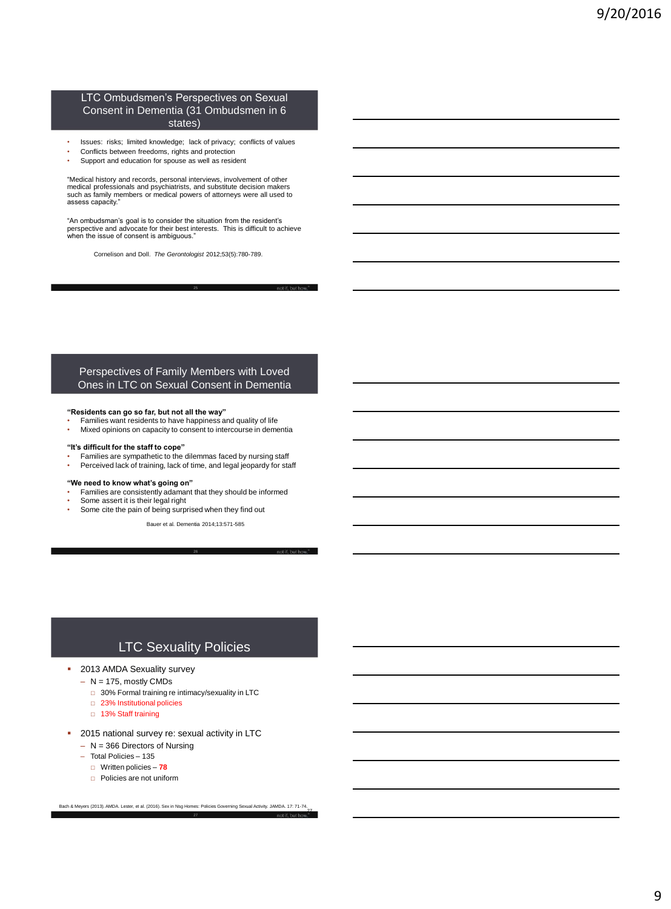#### LTC Ombudsmen's Perspectives on Sexual Consent in Dementia (31 Ombudsmen in 6 states)

- Issues: risks; limited knowledge; lack of privacy; conflicts of values
- Conflicts between freedoms, rights and protection
- Support and education for spouse as well as resident

"Medical history and records, personal interviews, involvement of other medical professionals and psychiatrists, and substitute decision makers such as family members or medical powers of attorneys were all used to assess capacity."

"An ombudsman's goal is to consider the situation from the resident's perspective and advocate for their best interests. This is difficult to achieve when the issue of consent is ambiguous."

Cornelison and Doll. *The Gerontologist* 2012;53(5):780-789.

#### Perspectives of Family Members with Loved Ones in LTC on Sexual Consent in Dementia

#### **"Residents can go so far, but not all the way"**

- Families want residents to have happiness and quality of life
- Mixed opinions on capacity to consent to intercourse in dementia

#### **"It's difficult for the staff to cope"**

- Families are sympathetic to the dilemmas faced by nursing staff
- Perceived lack of training, lack of time, and legal jeopardy for staff

#### **"We need to know what's going on"**

- Families are consistently adamant that they should be informed
- Some assert it is their legal right

Some cite the pain of being surprised when they find out Bauer et al. Dementia 2014;13:571-585.

26

# LTC Sexuality Policies

- **2013 AMDA Sexuality survey** 
	- $N = 175$ , mostly CMDs
		- □ 30% Formal training re intimacy/sexuality in LTC
		- □ 23% Institutional policies
		- □ 13% Staff training
- 2015 national survey re: sexual activity in LTC
	- N = 366 Directors of Nursing
	- Total Policies 135
		- Written policies **78**
		- Policies are not uniform

27 Bach & Meyers (2013). AMDA. Lester, et al. (2016). Sex in Nsg Homes: Policies Governing Sexual Activity. JAMDA. 17: 71-74.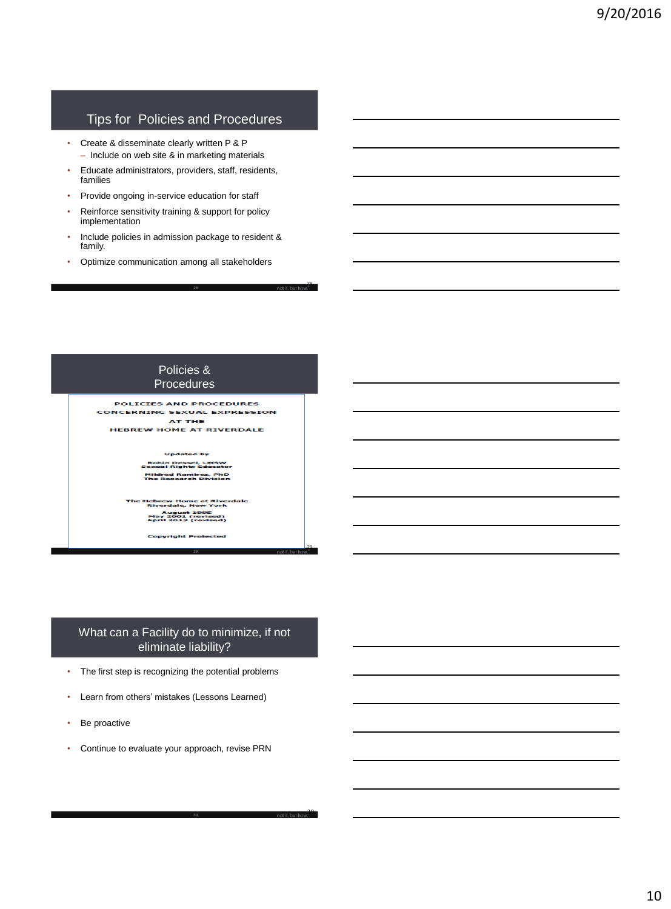# Tips for Policies and Procedures

- Create & disseminate clearly written P & P – Include on web site & in marketing materials
- Educate administrators, providers, staff, residents, families
- Provide ongoing in-service education for staff
- Reinforce sensitivity training & support for policy implementation
- Include policies in admission package to resident & family.

28

30

• Optimize communication among all stakeholders



### What can a Facility do to minimize, if not eliminate liability?

- The first step is recognizing the potential problems
- Learn from others' mistakes (Lessons Learned)
- Be proactive
- Continue to evaluate your approach, revise PRN